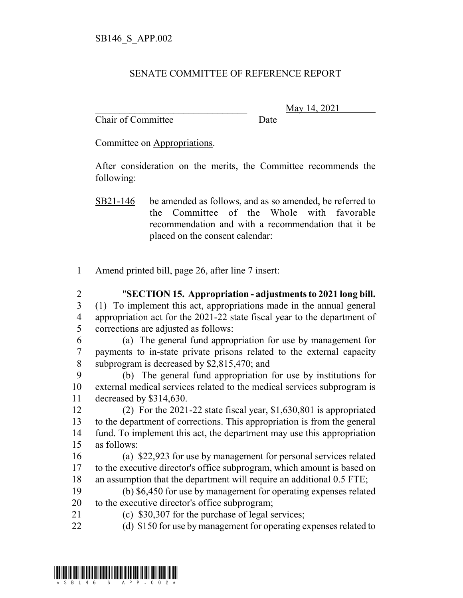## SENATE COMMITTEE OF REFERENCE REPORT

Chair of Committee Date

\_\_\_\_\_\_\_\_\_\_\_\_\_\_\_\_\_\_\_\_\_\_\_\_\_\_\_\_\_\_\_ May 14, 2021

Committee on Appropriations.

After consideration on the merits, the Committee recommends the following:

- Amend printed bill, page 26, after line 7 insert:
- "**SECTION 15. Appropriation adjustments to 2021 long bill.** (1) To implement this act, appropriations made in the annual general appropriation act for the 2021-22 state fiscal year to the department of corrections are adjusted as follows: (a) The general fund appropriation for use by management for payments to in-state private prisons related to the external capacity subprogram is decreased by \$2,815,470; and (b) The general fund appropriation for use by institutions for external medical services related to the medical services subprogram is decreased by \$314,630. (2) For the 2021-22 state fiscal year, \$1,630,801 is appropriated to the department of corrections. This appropriation is from the general fund. To implement this act, the department may use this appropriation as follows: (a) \$22,923 for use by management for personal services related to the executive director's office subprogram, which amount is based on an assumption that the department will require an additional 0.5 FTE; (b) \$6,450 for use by management for operating expenses related to the executive director's office subprogram; (c) \$30,307 for the purchase of legal services;
- (d) \$150 for use by management for operating expenses related to



SB21-146 be amended as follows, and as so amended, be referred to the Committee of the Whole with favorable recommendation and with a recommendation that it be placed on the consent calendar: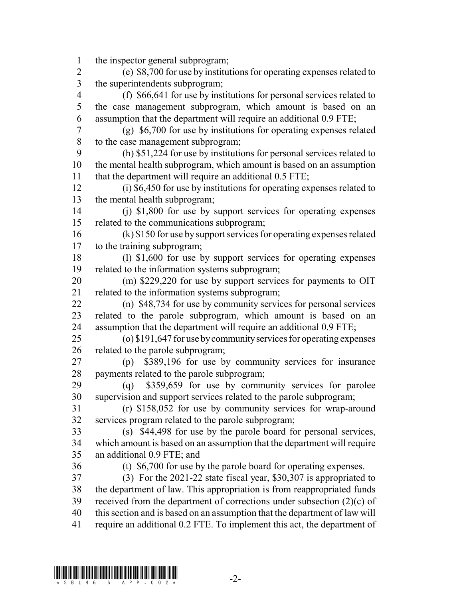the inspector general subprogram;

 (e) \$8,700 for use by institutions for operating expenses related to the superintendents subprogram;

 (f) \$66,641 for use by institutions for personal services related to the case management subprogram, which amount is based on an assumption that the department will require an additional 0.9 FTE;

 (g) \$6,700 for use by institutions for operating expenses related to the case management subprogram;

 (h) \$51,224 for use by institutions for personal services related to the mental health subprogram, which amount is based on an assumption that the department will require an additional 0.5 FTE;

 (i) \$6,450 for use by institutions for operating expenses related to the mental health subprogram;

 (j) \$1,800 for use by support services for operating expenses related to the communications subprogram;

 (k) \$150 for use by support services for operating expenses related to the training subprogram;

 (l) \$1,600 for use by support services for operating expenses related to the information systems subprogram;

 (m) \$229,220 for use by support services for payments to OIT related to the information systems subprogram;

 (n) \$48,734 for use by community services for personal services related to the parole subprogram, which amount is based on an assumption that the department will require an additional 0.9 FTE;

 (o) \$191,647 for use by community services for operating expenses related to the parole subprogram;

 (p) \$389,196 for use by community services for insurance payments related to the parole subprogram;

 (q) \$359,659 for use by community services for parolee supervision and support services related to the parole subprogram;

 (r) \$158,052 for use by community services for wrap-around services program related to the parole subprogram;

 (s) \$44,498 for use by the parole board for personal services, which amount is based on an assumption that the department will require an additional 0.9 FTE; and

(t) \$6,700 for use by the parole board for operating expenses.

 (3) For the 2021-22 state fiscal year, \$30,307 is appropriated to the department of law. This appropriation is from reappropriated funds 39 received from the department of corrections under subsection  $(2)(c)$  of this section and is based on an assumption that the department of law will require an additional 0.2 FTE. To implement this act, the department of